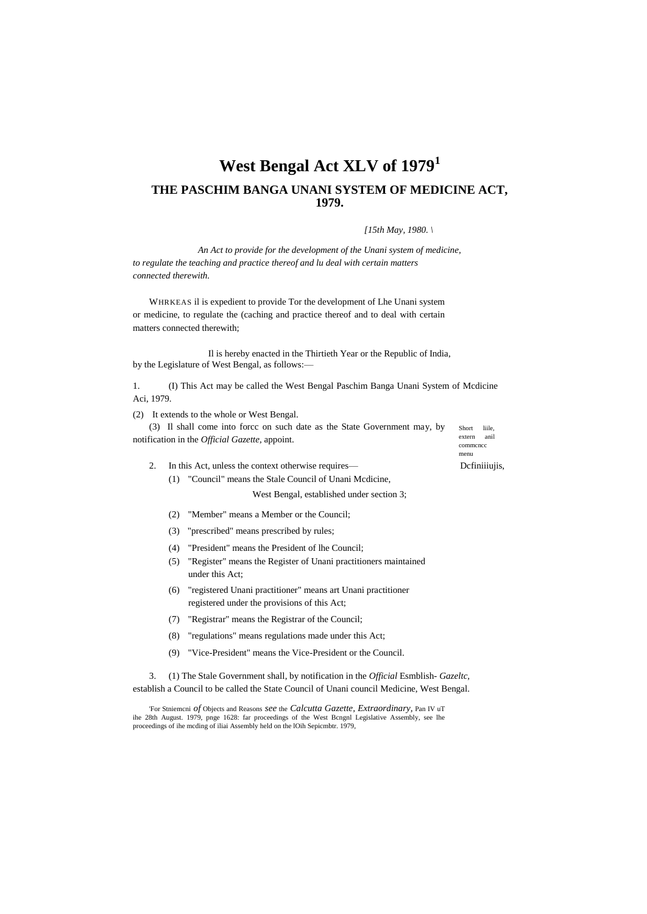# **West Bengal Act XLV of 1979<sup>1</sup> THE PASCHIM BANGA UNANI SYSTEM OF MEDICINE ACT, 1979.**

*[15th May, 1980. \*

*An Act to provide for the development of the Unani system of medicine, to regulate the teaching and practice thereof and lu deal with certain matters connected therewith.*

WHRKEAS il is expedient to provide Tor the development of Lhe Unani system or medicine, to regulate the (caching and practice thereof and to deal with certain matters connected therewith;

Il is hereby enacted in the Thirtieth Year or the Republic of India, by the Legislature of West Bengal, as follows:—

1. (I) This Act may be called the West Bengal Paschim Banga Unani System of Mcdicine Aci, 1979.

(2) It extends to the whole or West Bengal.

Short liile, extern anil commcncc (3) Il shall come into forcc on such date as the State Government may, by notification in the *Official Gazette,* appoint.

2. In this Act, unless the context otherwise requires— Definiiiujis,

- (1) "Council" means the Stale Council of Unani Mcdicine, West Bengal, established under section 3;
- (2) "Member" means a Member or the Council;
- (3) "prescribed" means prescribed by rules;
- (4) "President" means the President of lhe Council;
- (5) "Register" means the Register of Unani practitioners maintained under this Act;
- (6) "registered Unani practitioner" means art Unani practitioner registered under the provisions of this Act;
- (7) "Registrar" means the Registrar of the Council;
- (8) "regulations" means regulations made under this Act;
- (9) "Vice-President" means the Vice-President or the Council.

3. (1) The Stale Government shall, by notification in the *Official* Esmblish- *Gazeltc,* establish a Council to be called the State Council of Unani council Medicine, West Bengal.

'For Stniemcni *of* Objects and Reasons *see* the *Calcutta Gazette, Extraordinary,* Pan IV uT ihe 28th August. 1979, pnge 1628: far proceedings of the West Bcngnl Legislative Assembly, see lhe proceedings of ihe mcding of iliai Assembly held on the lOih Sepicmbtr. 1979,

menu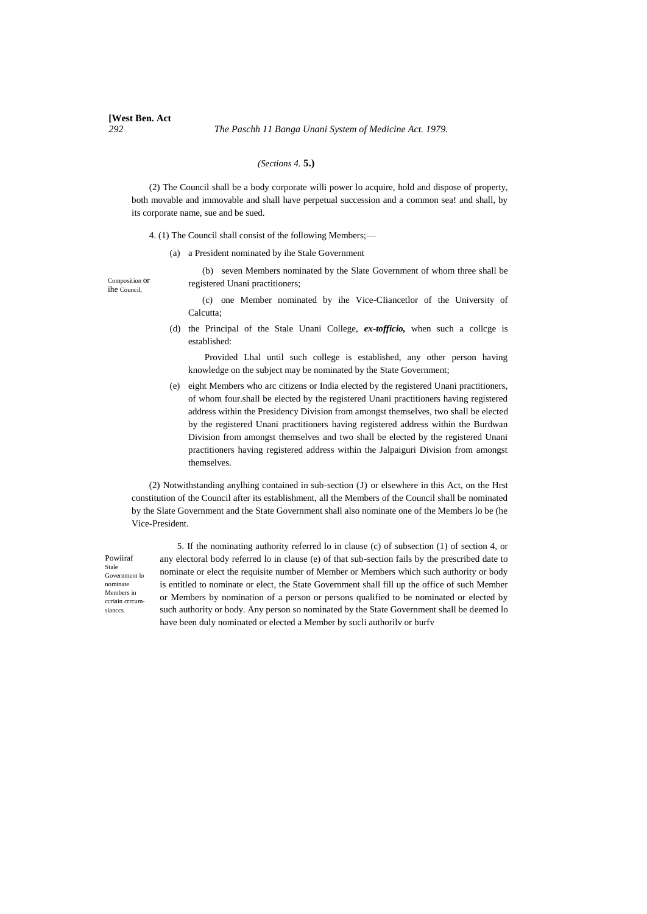#### *(Sections 4.* **5.)**

(2) The Council shall be a body corporate willi power lo acquire, hold and dispose of property, both movable and immovable and shall have perpetual succession and a common sea! and shall, by its corporate name, sue and be sued.

4. (1) The Council shall consist of the following Members;—

(a) a President nominated by ihe Stale Government

(b) seven Members nominated by the Slate Government of whom three shall be registered Unani practitioners;

Composition or ihe Council,

> (c) one Member nominated by ihe Vice-CIiancetlor of the University of Calcutta;

(d) the Principal of the Stale Unani College, *ex-tofficio,* when such a collcge is established:

Provided Lhal until such college is established, any other person having knowledge on the subject may be nominated by the State Government;

(e) eight Members who arc citizens or India elected by the registered Unani practitioners, of whom four.shall be elected by the registered Unani practitioners having registered address within the Presidency Division from amongst themselves, two shall be elected by the registered Unani practitioners having registered address within the Burdwan Division from amongst themselves and two shall be elected by the registered Unani practitioners having registered address within the Jalpaiguri Division from amongst themselves.

(2) Notwithstanding anylhing contained in sub-section (J) or elsewhere in this Act, on the Hrst constitution of the Council after its establishment, all the Members of the Council shall be nominated by the Slate Government and the State Government shall also nominate one of the Members lo be (he Vice-President.

Powiiraf Stale Government lo nominate Members in ccriain crrcumsianccs.

5. If the nominating authority referred lo in clause (c) of subsection (1) of section 4, or any electoral body referred lo in clause (e) of that sub-section fails by the prescribed date to nominate or elect the requisite number of Member or Members which such authority or body is entitled to nominate or elect, the State Government shall fill up the office of such Member or Members by nomination of a person or persons qualified to be nominated or elected by such authority or body. Any person so nominated by the State Government shall be deemed lo have been duly nominated or elected a Member by sucli authorilv or burfv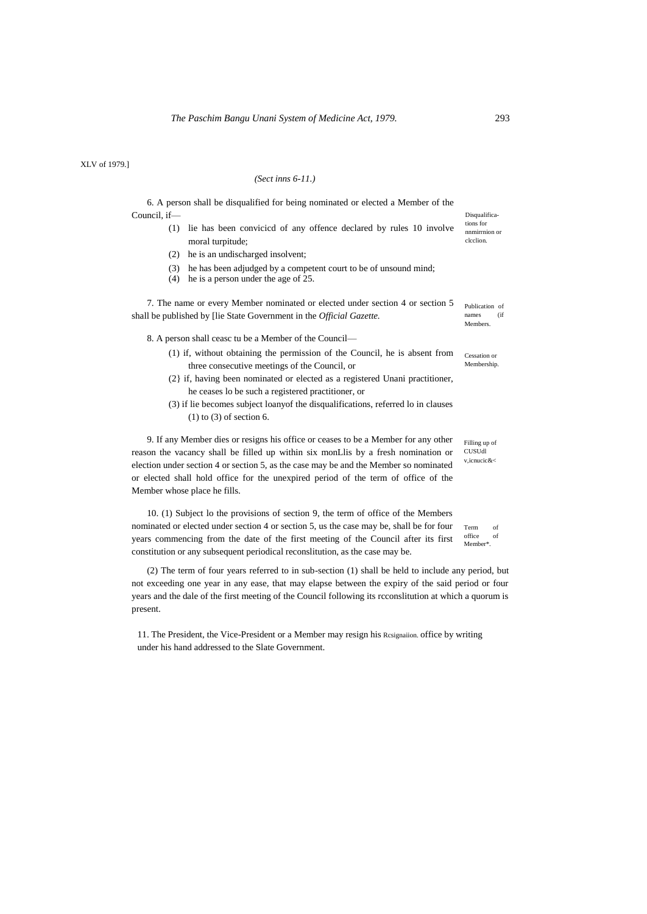#### *(Sect inns 6-11.)*

6. A person shall be disqualified for being nominated or elected a Member of the Council, if—

- (1) lie has been convicicd of any offence declared by rules 10 involve moral turpitude;
- (2) he is an undischarged insolvent;
- (3) he has been adjudged by a competent court to be of unsound mind;
- (4) he is a person under the age of 25.

7. The name or every Member nominated or elected under section 4 or section 5 shall be published by [lie State Government in the *Official Gazette.*

8. A person shall ceasc tu be a Member of the Council—

- (1) if, without obtaining the permission of the Council, he is absent from three consecutive meetings of the Council, or
- (2} if, having been nominated or elected as a registered Unani practitioner, he ceases lo be such a registered practitioner, or
- (3) if lie becomes subject loanyof the disqualifications, referred lo in clauses (1) to (3) of section 6.

9. If any Member dies or resigns his office or ceases to be a Member for any other reason the vacancy shall be filled up within six monLlis by a fresh nomination or election under section 4 or section 5, as the case may be and the Member so nominated or elected shall hold office for the unexpired period of the term of office of the Member whose place he fills.

10. (1) Subject lo the provisions of section 9, the term of office of the Members nominated or elected under section 4 or section 5, us the case may be, shall be for four years commencing from the date of the first meeting of the Council after its first constitution or any subsequent periodical reconslitution, as the case may be.

(2) The term of four years referred to in sub-section (1) shall be held to include any period, but not exceeding one year in any ease, that may elapse between the expiry of the said period or four years and the dale of the first meeting of the Council following its rcconslitution at which a quorum is present.

11. The President, the Vice-President or a Member may resign his Rcsignaiion. office by writing under his hand addressed to the Slate Government.

Disqualifica-tions for nnmirrnion or clcclion.

Publication of names (if Members.

Cessation or Membership.

Filling up of CUSUdl v,icnucic&<

Term of office of Member\*.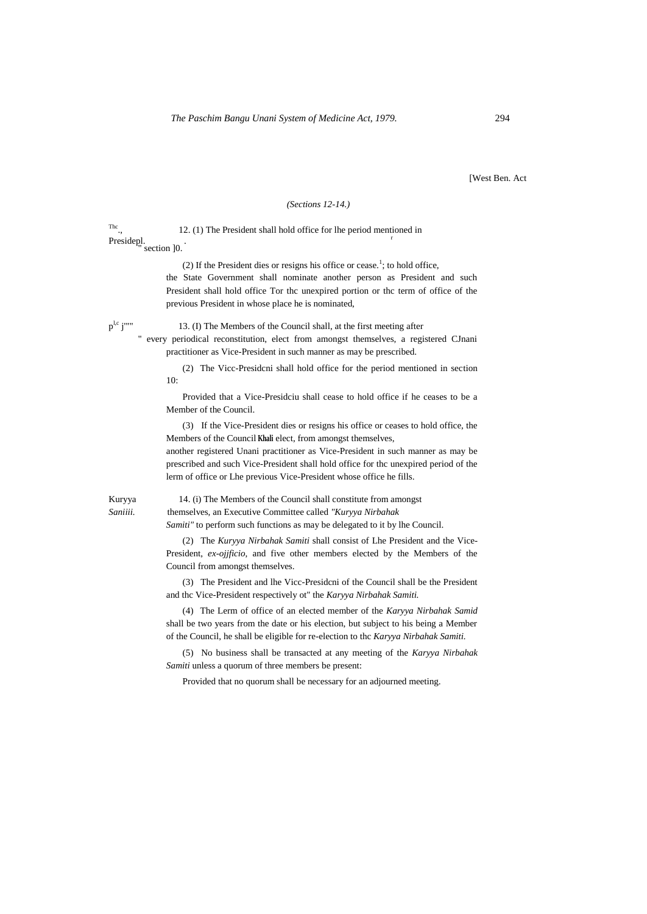[West Ben. Act

#### *(Sections 12-14.)*

Thc 12. (1) The President shall hold office for lhe period mentioned in Presidepl.<br>"section ]0. r

> (2) If the President dies or resigns his office or cease.<sup>1</sup>; to hold office, the State Government shall nominate another person as President and such President shall hold office Tor thc unexpired portion or thc term of office of the previous President in whose place he is nominated,

 $p^{l,c}$  j""

13. (I) The Members of the Council shall, at the first meeting after

" every periodical reconstitution, elect from amongst themselves, a registered CJnani practitioner as Vice-President in such manner as may be prescribed.

(2) The Vicc-Presidcni shall hold office for the period mentioned in section 10:

Provided that a Vice-Presidciu shall cease to hold office if he ceases to be a Member of the Council.

(3) If the Vice-President dies or resigns his office or ceases to hold office, the Members of the Council **Khali** elect, from amongst themselves,

another registered Unani practitioner as Vice-President in such manner as may be prescribed and such Vice-President shall hold office for thc unexpired period of the lerm of office or Lhe previous Vice-President whose office he fills.

Kuryya 14. (i) The Members of the Council shall constitute from amongst *Saniiii.* themselves, an Executive Committee called *"Kuryya Nirbahak*

*Samiti"* to perform such functions as may be delegated to it by lhe Council.

(2) The *Kuryya Nirbahak Samiti* shall consist of Lhe President and the Vice-President, *ex-ojjficio,* and five other members elected by the Members of the Council from amongst themselves.

(3) The President and lhe Vicc-Presidcni of the Council shall be the President and thc Vice-President respectively ot" the *Karyya Nirbahak Samiti.*

(4) The Lerm of office of an elected member of the *Karyya Nirbahak Samid* shall be two years from the date or his election, but subject to his being a Member of the Council, he shall be eligible for re-election to thc *Karyya Nirbahak Samiti.*

(5) No business shall be transacted at any meeting of the *Karyya Nirbahak Samiti* unless a quorum of three members be present:

Provided that no quorum shall be necessary for an adjourned meeting.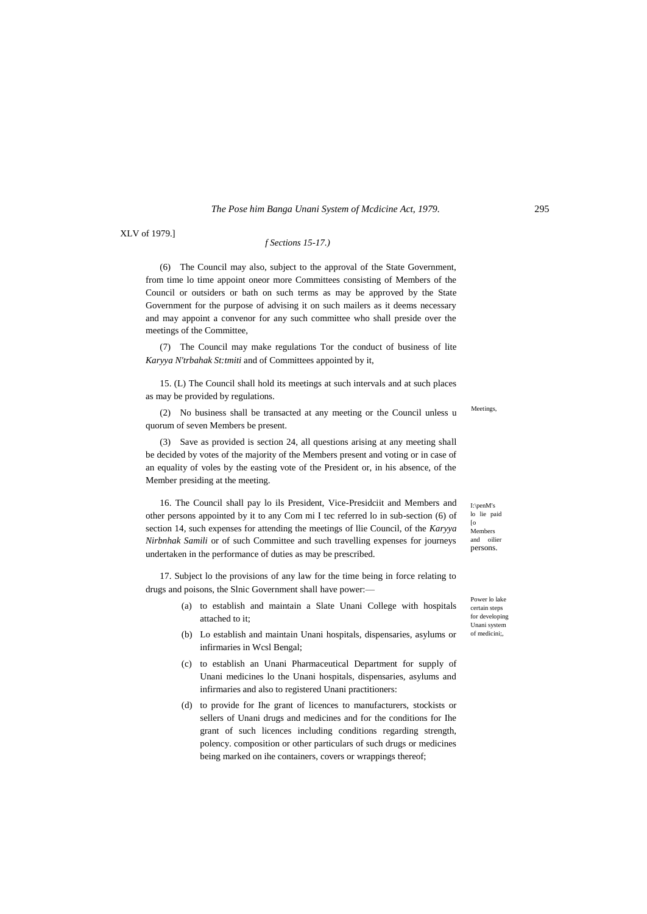XLV of 1979.]

## *f Sections 15-17.)*

(6) The Council may also, subject to the approval of the State Government, from time lo time appoint oneor more Committees consisting of Members of the Council or outsiders or bath on such terms as may be approved by the State Government for the purpose of advising it on such mailers as it deems necessary and may appoint a convenor for any such committee who shall preside over the meetings of the Committee,

(7) The Council may make regulations Tor the conduct of business of lite *Karyya N'trbahak St:tmiti* and of Committees appointed by it,

15. (L) The Council shall hold its meetings at such intervals and at such places as may be provided by regulations.

(2) No business shall be transacted at any meeting or the Council unless u quorum of seven Members be present.

(3) Save as provided is section 24, all questions arising at any meeting shall be decided by votes of the majority of the Members present and voting or in case of an equality of voles by the easting vote of the President or, in his absence, of the Member presiding at the meeting.

16. The Council shall pay lo ils President, Vice-Presidciit and Members and other persons appointed by it to any Com mi I tec referred lo in sub-section (6) of section 14, such expenses for attending the meetings of llie Council, of the *Karyya Nirbnhak Samili* or of such Committee and such travelling expenses for journeys undertaken in the performance of duties as may be prescribed.

17. Subject lo the provisions of any law for the time being in force relating to drugs and poisons, the Slnic Government shall have power:—

- (a) to establish and maintain a Slate Unani College with hospitals attached to it;
- (b) Lo establish and maintain Unani hospitals, dispensaries, asylums or infirmaries in Wcsl Bengal;
- (c) to establish an Unani Pharmaceutical Department for supply of Unani medicines lo the Unani hospitals, dispensaries, asylums and infirmaries and also to registered Unani practitioners:
- (d) to provide for Ihe grant of licences to manufacturers, stockists or sellers of Unani drugs and medicines and for the conditions for Ihe grant of such licences including conditions regarding strength, polency. composition or other particulars of such drugs or medicines being marked on ihe containers, covers or wrappings thereof;

Meetings,

I:\penM's lo lie paid [o Members and oilier persons.

Power lo lake certain steps for developing Unani system of medicini;,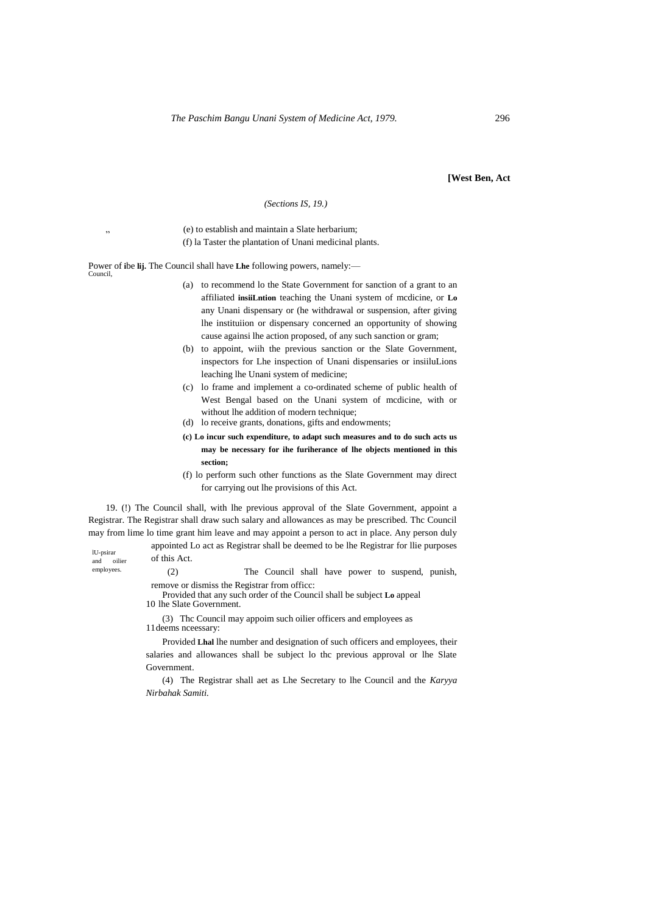**[West Ben, Act**

#### *(Sections IS, 19.)*

", "
(e) to establish and maintain a Slate herbarium;

(f) la Taster the plantation of Unani medicinal plants.

Power of **i**be **lij.** The Council shall have **Lhe** following powers, namely:— Council,

- (a) to recommend lo the State Government for sanction of a grant to an affiliated **insiiLntion** teaching the Unani system of mcdicine, or **Lo** any Unani dispensary or (he withdrawal or suspension, after giving lhe instituiion or dispensary concerned an opportunity of showing cause againsi lhe action proposed, of any such sanction or gram;
- (b) to appoint, wiih the previous sanction or the Slate Government, inspectors for Lhe inspection of Unani dispensaries or insiiluLions leaching lhe Unani system of medicine;
- (c) lo frame and implement a co-ordinated scheme of public health of West Bengal based on the Unani system of mcdicine, with or without lhe addition of modern technique;
- (d) lo receive grants, donations, gifts and endowments;
- **(c) Lo incur such expenditure, to adapt such measures and to do such acts us may be necessary for ihe furiherance of lhe objects mentioned in this section;**
- (f) lo perform such other functions as the Slate Government may direct for carrying out lhe provisions of this Act.

19. (!) The Council shall, with lhe previous approval of the Slate Government, appoint a Registrar. The Registrar shall draw such salary and allowances as may be prescribed. Thc Council may from lime lo time grant him leave and may appoint a person to act in place. Any person duly appointed Lo act as Registrar shall be deemed to be lhe Registrar for llie purposes

lU-psirar and oilier employees.

of this Act. (2) The Council shall have power to suspend, punish,

remove or dismiss the Registrar from officc: Provided that any such order of the Council shall be subject **Lo** appeal 10 lhe Slate Government.

(3) Thc Council may appoim such oilier officers and employees as 11deems nceessary:

Provided **Lhal** lhe number and designation of such officers and employees, their salaries and allowances shall be subject lo thc previous approval or lhe Slate Government.

(4) The Registrar shall aet as Lhe Secretary to lhe Council and the *Karyya Nirbahak Samiti.*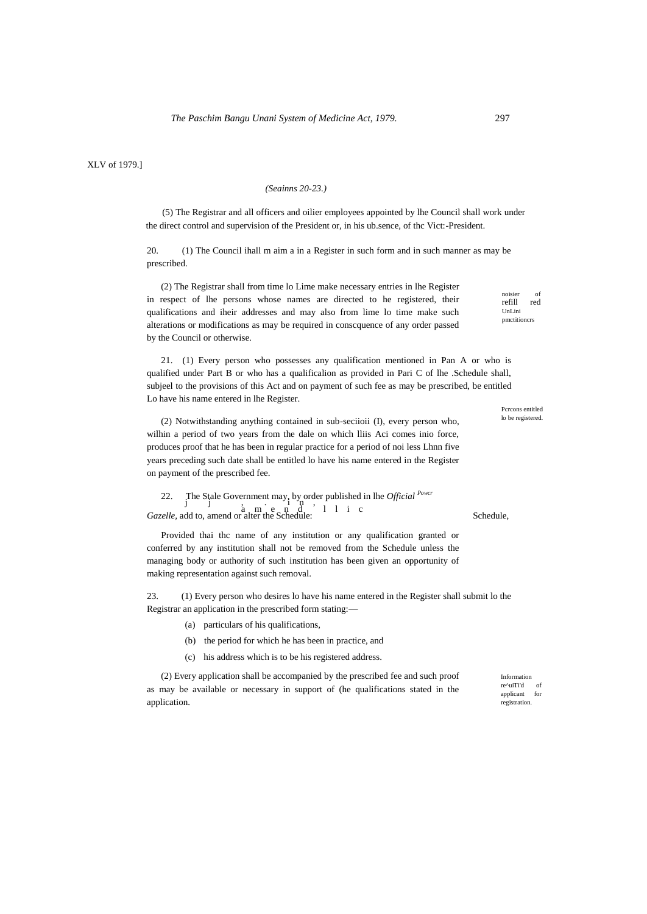XLV of 1979.]

#### *(Seainns 20-23.)*

(5) The Registrar and all officers and oilier employees appointed by lhe Council shall work under the direct control and supervision of the President or, in his ub.sence, of thc Vict:-President.

20. (1) The Council ihall m aim a in a Register in such form and in such manner as may be prescribed.

(2) The Registrar shall from time lo Lime make necessary entries in lhe Register in respect of lhe persons whose names are directed to he registered, their qualifications and iheir addresses and may also from lime lo time make such alterations or modifications as may be required in conscquence of any order passed by the Council or otherwise.

21. (1) Every person who possesses any qualification mentioned in Pan A or who is qualified under Part B or who has a qualificalion as provided in Pari C of lhe .Schedule shall, subjeel to the provisions of this Act and on payment of such fee as may be prescribed, be entitled Lo have his name entered in lhe Register.

(2) Notwithstanding anything contained in sub-seciioii (I), every person who, wilhin a period of two years from the dale on which lliis Aci comes inio force, produces proof that he has been in regular practice for a period of noi less Lhnn five years preceding such date shall be entitled lo have his name entered in the Register on payment of the prescribed fee.

22. The State Government may, by order published in the *Official*<sup>Power</sup>  
\n
$$
\begin{array}{ccc}\n\text{J} & \text{J} & \text{m} & \text{e} & \text{n} & \text{d} \\
\text{Gazelle, add to, amend or alter the Schedule:} & & & & \\
\end{array}
$$
\nScheduling:

Provided thai thc name of any institution or any qualification granted or conferred by any institution shall not be removed from the Schedule unless the managing body or authority of such institution has been given an opportunity of making representation against such removal.

23. (1) Every person who desires lo have his name entered in the Register shall submit lo the Registrar an application in the prescribed form stating:—

- (a) particulars of his qualifications,
- (b) the period for which he has been in practice, and
- (c) his address which is to be his registered address.

(2) Every application shall be accompanied by the prescribed fee and such proof as may be available or necessary in support of (he qualifications stated in the application.

Information re^uiTi'd of applicant registration.

Pcrcons entitled lo be registered.

noisier of refill red UnLini pmctitioncrs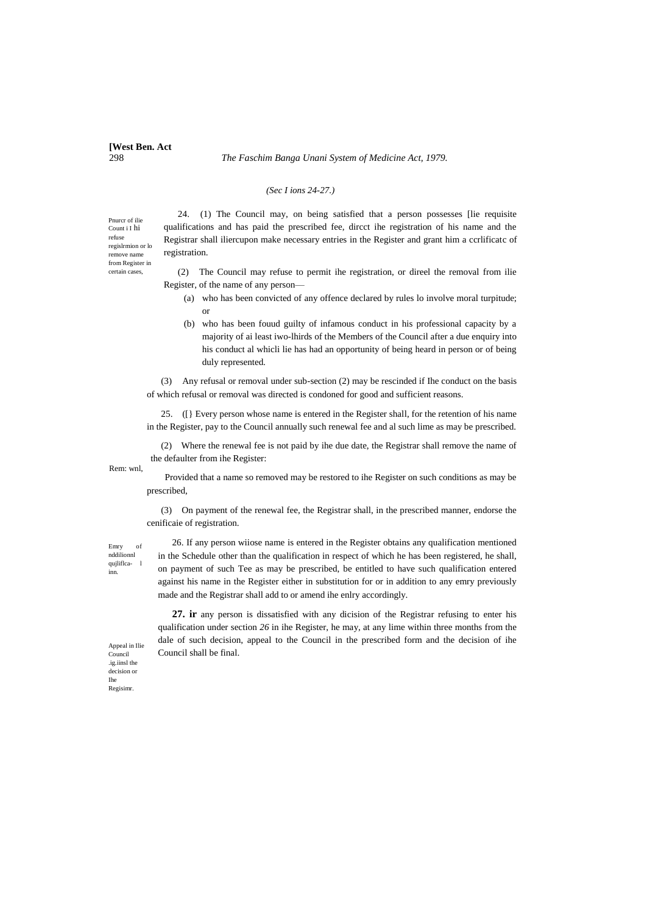# **[West Ben. Act**

298 *The Faschim Banga Unani System of Medicine Act, 1979.*

#### *(Sec I ions 24-27.)*

Pnurcr of ilie Count i I hi refuse regislrmion or lo remove name from Register in certain cases,

24. (1) The Council may, on being satisfied that a person possesses [lie requisite qualifications and has paid the prescribed fee, dircct ihe registration of his name and the Registrar shall iliercupon make necessary entries in the Register and grant him a ccrlificatc of registration.

(2) The Council may refuse to permit ihe registration, or direel the removal from ilie Register, of the name of any person—

- (a) who has been convicted of any offence declared by rules lo involve moral turpitude; or
- (b) who has been fouud guilty of infamous conduct in his professional capacity by a majority of ai least iwo-lhirds of the Members of the Council after a due enquiry into his conduct al whicli lie has had an opportunity of being heard in person or of being duly represented.

(3) Any refusal or removal under sub-section (2) may be rescinded if Ihe conduct on the basis of which refusal or removal was directed is condoned for good and sufficient reasons.

25. ([} Every person whose name is entered in the Register shall, for the retention of his name in the Register, pay to the Council annually such renewal fee and al such lime as may be prescribed.

(2) Where the renewal fee is not paid by ihe due date, the Registrar shall remove the name of the defaulter from ihe Register:

Rem: wnl,

Provided that a name so removed may be restored to ihe Register on such conditions as may be prescribed,

(3) On payment of the renewal fee, the Registrar shall, in the prescribed manner, endorse the cenificaie of registration.

Emry of nddilionnl qujliflca- l inn.

26. If any person wiiose name is entered in the Register obtains any qualification mentioned in the Schedule other than the qualification in respect of which he has been registered, he shall, on payment of such Tee as may be prescribed, be entitled to have such qualification entered against his name in the Register either in substitution for or in addition to any emry previously made and the Registrar shall add to or amend ihe enlry accordingly.

**27. ir** any person is dissatisfied with any dicision of the Registrar refusing to enter his qualification under section *26* in ihe Register, he may, at any lime within three months from the dale of such decision, appeal to the Council in the prescribed form and the decision of ihe Council shall be final.

Appeal in Ilie Council .ig.iinsl the decision or Ihe Regisimr.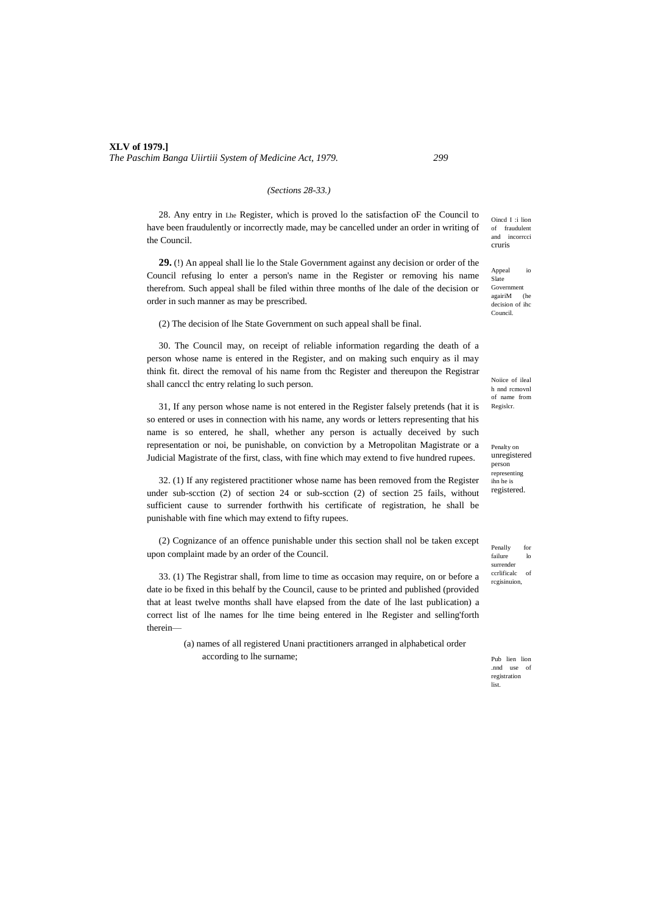## **XLV of 1979.]** *The Paschim Banga Uiirtiii System of Medicine Act, 1979. 299*

#### *(Sections 28-33.)*

28. Any entry in Lhe Register, which is proved lo the satisfaction oF the Council to have been fraudulently or incorrectly made, may be cancelled under an order in writing of the Council.

**29.** (!) An appeal shall lie lo the Stale Government against any decision or order of the Council refusing lo enter a person's name in the Register or removing his name therefrom. Such appeal shall be filed within three months of lhe dale of the decision or order in such manner as may be prescribed.

(2) The decision of lhe State Government on such appeal shall be final.

30. The Council may, on receipt of reliable information regarding the death of a person whose name is entered in the Register, and on making such enquiry as il may think fit. direct the removal of his name from thc Register and thereupon the Registrar shall canccl thc entry relating lo such person.

31, If any person whose name is not entered in the Register falsely pretends (hat it is so entered or uses in connection with his name, any words or letters representing that his name is so entered, he shall, whether any person is actually deceived by such representation or noi, be punishable, on conviction by a Metropolitan Magistrate or a Judicial Magistrate of the first, class, with fine which may extend to five hundred rupees.

32. (1) If any registered practitioner whose name has been removed from the Register under sub-scction (2) of section 24 or sub-scction (2) of section 25 fails, without sufficient cause to surrender forthwith his certificate of registration, he shall be punishable with fine which may extend to fifty rupees.

(2) Cognizance of an offence punishable under this section shall nol be taken except upon complaint made by an order of the Council.

33. (1) The Registrar shall, from lime to time as occasion may require, on or before a date io be fixed in this behalf by the Council, cause to be printed and published (provided that at least twelve months shall have elapsed from the date of lhe last publication) a correct list of lhe names for lhe time being entered in lhe Register and selling'forth therein—

> (a) names of all registered Unani practitioners arranged in alphabetical order according to lhe surname;

Oincd I :i lion of fraudulen and incorrcci cruris

Appeal io Slate Government<br>agairiM (he agairiM decision of ihc Council.

Noiice of ileal h nnd rcmovnl of name from Regislcr.

Penalty on unregistered person representing ihn he is registered.

Penally for failure lo surrender ccrlificalc of rcgisinuion,

Pub lien lion .nnd use of registration list.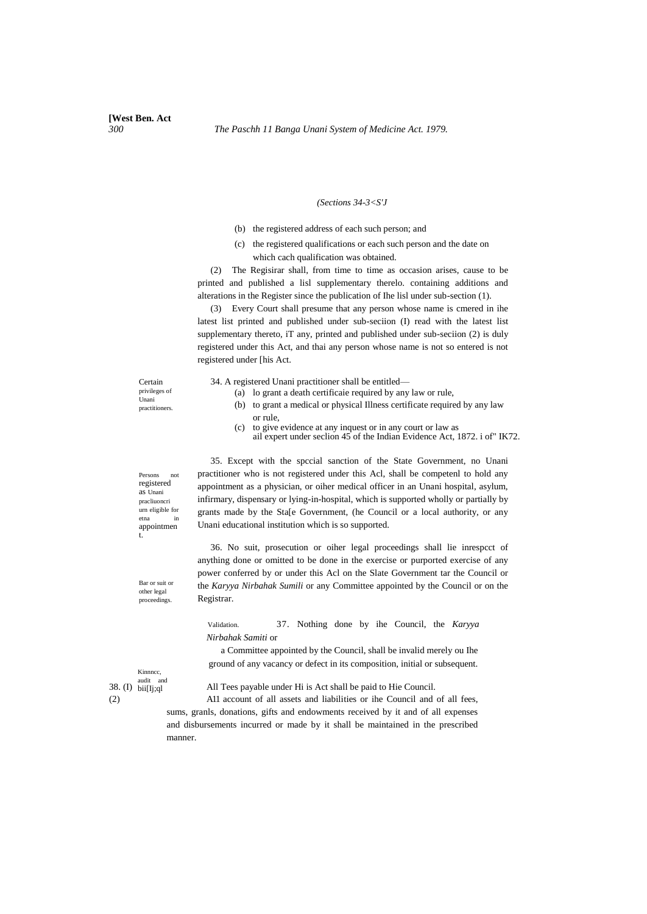#### *(Sections 34-3<S'J*

- (b) the registered address of each such person; and
- (c) the registered qualifications or each such person and the date on which cach qualification was obtained.

(2) The Regisirar shall, from time to time as occasion arises, cause to be printed and published a lisl supplementary therelo. containing additions and alterations in the Register since the publication of Ihe lisl under sub-section (1).

(3) Every Court shall presume that any person whose name is cmered in ihe latest list printed and published under sub-seciion (I) read with the latest list supplementary thereto, iT any, printed and published under sub-seciion (2) is duly registered under this Act, and thai any person whose name is not so entered is not registered under [his Act.

Certain privileges of Unani practitioners. 34. A registered Unani practitioner shall be entitled—

- (a) lo grant a death certificaie required by any law or rule,
- (b) to grant a medical or physical Illness certificate required by any law or rule,
- (c) to give evidence at any inquest or in any court or law as ail expert under seclion 45 of the Indian Evidence Act, 1872. i of" IK72.

35. Except with the spccial sanction of the State Government, no Unani practitioner who is not registered under this Acl, shall be competenl to hold any appointment as a physician, or oiher medical officer in an Unani hospital, asylum, infirmary, dispensary or lying-in-hospital, which is supported wholly or partially by grants made by the Sta[e Government, (he Council or a local authority, or any Unani educational institution which is so supported.

36. No suit, prosecution or oiher legal proceedings shall lie inrespcct of anything done or omitted to be done in the exercise or purported exercise of any power conferred by or under this Acl on the Slate Government tar the Council or the *Karyya Nirbahak Sumili* or any Committee appointed by the Council or on the Registrar.

Validation. 37. Nothing done by ihe Council, the *Karyya Nirbahak Samiti* or

a Committee appointed by the Council, shall be invalid merely ou Ihe ground of any vacancy or defect in its composition, initial or subsequent.

Kinnncc, audit and 38.  $(I)$  bii $[Ij;q]$ 

All Tees payable under Hi is Act shall be paid to Hie Council.

(2) A11 account of all assets and liabilities or ihe Council and of all fees, sums, granls, donations, gifts and endowments received by it and of all expenses and disbursements incurred or made by it shall be maintained in the prescribed manner.

Persons not registered as Unani pracliuoncri urn eligible for etna in appointmen t.

Bar or suit or other legal proceedings.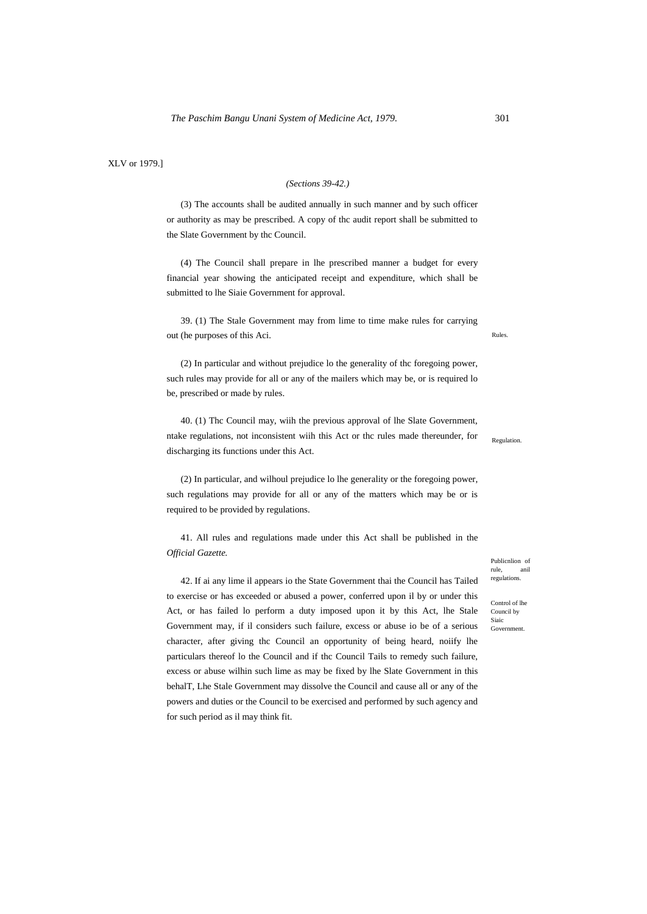## *(Sections 39-42.)*

(3) The accounts shall be audited annually in such manner and by such officer or authority as may be prescribed. A copy of thc audit report shall be submitted to the Slate Government by thc Council.

(4) The Council shall prepare in lhe prescribed manner a budget for every financial year showing the anticipated receipt and expenditure, which shall be submitted to lhe Siaie Government for approval.

39. (1) The Stale Government may from lime to time make rules for carrying out (he purposes of this Aci.

(2) In particular and without prejudice lo the generality of thc foregoing power, such rules may provide for all or any of the mailers which may be, or is required lo be, prescribed or made by rules.

40. (1) Thc Council may, wiih the previous approval of lhe Slate Government, ntake regulations, not inconsistent wiih this Act or thc rules made thereunder, for discharging its functions under this Act.

(2) In particular, and wilhoul prejudice lo lhe generality or the foregoing power, such regulations may provide for all or any of the matters which may be or is required to be provided by regulations.

41. All rules and regulations made under this Act shall be published in the *Official Gazette.*

42. If ai any lime il appears io the State Government thai the Council has Tailed to exercise or has exceeded or abused a power, conferred upon il by or under this Act, or has failed lo perform a duty imposed upon it by this Act, lhe Stale Government may, if il considers such failure, excess or abuse io be of a serious character, after giving thc Council an opportunity of being heard, noiify lhe particulars thereof lo the Council and if thc Council Tails to remedy such failure, excess or abuse wilhin such lime as may be fixed by lhe Slate Government in this behalT, Lhe Stale Government may dissolve the Council and cause all or any of the powers and duties or the Council to be exercised and performed by such agency and for such period as il may think fit.

#### Rules.

**Regulation** 

Publicnlion of rule, anil regulations.

Control of lhe Council by Siaic Government.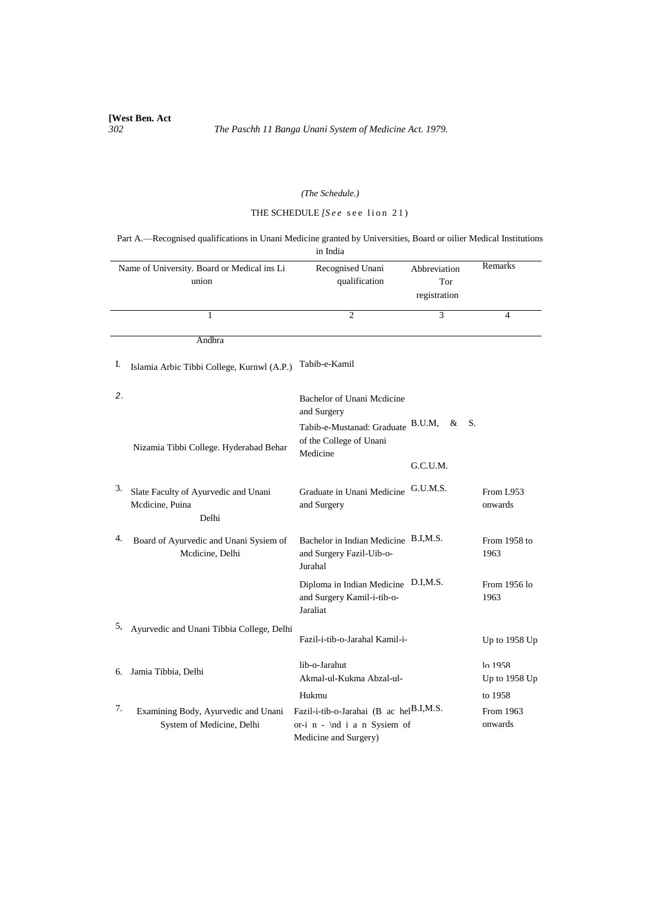## *(The Schedule.)*

# THE SCHEDULE *[See* see lion 21)

| Part A.—Recognised qualifications in Unani Medicine granted by Universities, Board or oilier Medical Institutions |
|-------------------------------------------------------------------------------------------------------------------|
| in India                                                                                                          |

|    | Name of University. Board or Medical ins Li<br>union             | Recognised Unani<br>qualification                                                                                     | Abbreviation<br>Tor<br>registration | Remarks                         |
|----|------------------------------------------------------------------|-----------------------------------------------------------------------------------------------------------------------|-------------------------------------|---------------------------------|
|    | 1                                                                | $\overline{2}$                                                                                                        | $\overline{3}$                      | 4                               |
|    | Andhra                                                           |                                                                                                                       |                                     |                                 |
| Ι. | Islamia Arbic Tibbi College, Kurnwl (A.P.)                       | Tabib-e-Kamil                                                                                                         |                                     |                                 |
| 2. |                                                                  | Bachelor of Unani Medicine<br>and Surgery<br>Tabib-e-Mustanad: Graduate                                               | B.U.M,<br>S.<br>&                   |                                 |
|    | Nizamia Tibbi College. Hyderabad Behar                           | of the College of Unani<br>Medicine                                                                                   |                                     |                                 |
|    |                                                                  |                                                                                                                       | G.C.U.M.                            |                                 |
| 3. | Slate Faculty of Ayurvedic and Unani<br>Mcdicine, Puina<br>Delhi | Graduate in Unani Medicine<br>and Surgery                                                                             | G.U.M.S.                            | From L953<br>onwards            |
| 4. | Board of Ayurvedic and Unani Sysiem of<br>Mcdicine, Delhi        | Bachelor in Indian Medicine<br>and Surgery Fazil-Uib-o-<br>Jurahal                                                    | B.I.M.S.                            | From 1958 to<br>1963            |
|    |                                                                  | Diploma in Indian Medicine<br>and Surgery Kamil-i-tib-o-<br>Jaraliat                                                  | D.I,M.S.                            | From 1956 lo<br>1963            |
| 5, | Ayurvedic and Unani Tibbia College, Delhi                        | Fazil-i-tib-o-Jarahal Kamil-i-                                                                                        |                                     | Up to 1958 Up                   |
| 6. | Jamia Tibbia, Delhi                                              | lih-o-Jarahut<br>Akmal-ul-Kukma Abzal-ul-                                                                             |                                     | 10.1958<br>Up to 1958 Up        |
| 7. | Examining Body, Ayurvedic and Unani<br>System of Medicine, Delhi | Hukmu<br>Fazil-i-tib-o-Jarahai (B ac hel <sup>B.I,M.S.</sup><br>or-i n - \nd i a n Sysiem of<br>Medicine and Surgery) |                                     | to 1958<br>From 1963<br>onwards |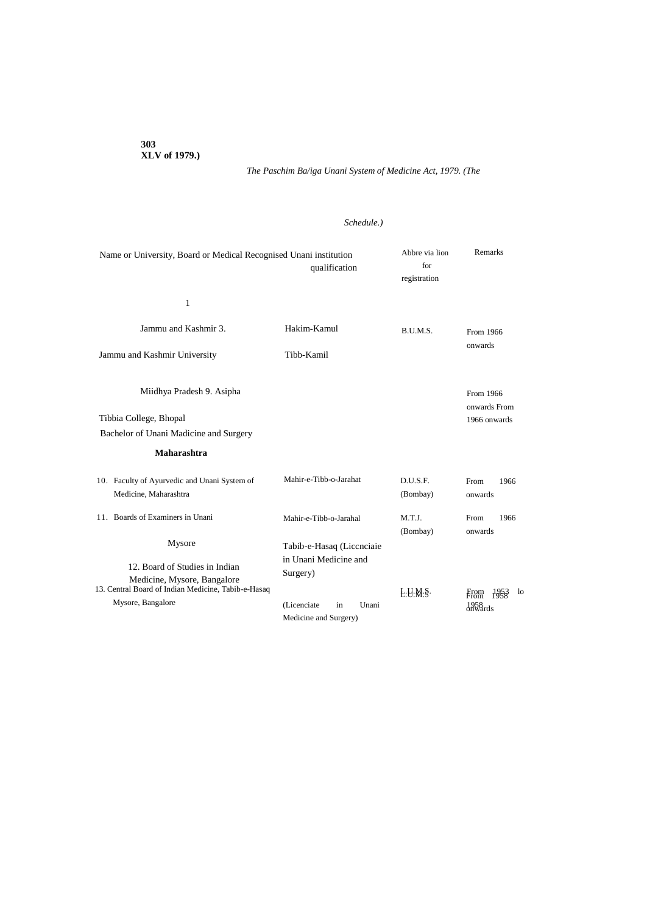**303 XLV of 1979.)**

## *The Paschim Ba/iga Unani System of Medicine Act, 1979. (The*

## *Schedule.)*

| Name or University, Board or Medical Recognised Unani institution                  | qualification                                       | Abbre via lion<br>for<br>registration | Remarks                                                                        |
|------------------------------------------------------------------------------------|-----------------------------------------------------|---------------------------------------|--------------------------------------------------------------------------------|
| 1                                                                                  |                                                     |                                       |                                                                                |
| Jammu and Kashmir 3.                                                               | Hakim-Kamul                                         | B.U.M.S.                              | From 1966<br>onwards                                                           |
| Jammu and Kashmir University                                                       | Tibb-Kamil                                          |                                       |                                                                                |
| Miidhya Pradesh 9. Asipha                                                          |                                                     |                                       | From 1966<br>onwards From                                                      |
| Tibbia College, Bhopal                                                             |                                                     |                                       | 1966 onwards                                                                   |
| Bachelor of Unani Madicine and Surgery                                             |                                                     |                                       |                                                                                |
| Maharashtra                                                                        |                                                     |                                       |                                                                                |
| 10. Faculty of Ayurvedic and Unani System of<br>Medicine, Maharashtra              | Mahir-e-Tibb-o-Jarahat                              | D.U.S.F.<br>(Bombay)                  | From<br>1966<br>onwards                                                        |
| 11. Boards of Examiners in Unani                                                   | Mahir-e-Tibb-o-Jarahal                              | M.T.J.<br>(Bombay)                    | From<br>1966<br>onwards                                                        |
| Mysore                                                                             | Tabib-e-Hasaq (Liccnciaie<br>in Unani Medicine and  |                                       |                                                                                |
| 12. Board of Studies in Indian                                                     | Surgery)                                            |                                       |                                                                                |
| Medicine, Mysore, Bangalore<br>13. Central Board of Indian Medicine, Tabib-e-Hasaq |                                                     | E.H.M.                                | lo<br>$\begin{bmatrix} \text{From} & 1953 \\ \text{from} & 1958 \end{bmatrix}$ |
| Mysore, Bangalore                                                                  | (Licenciate<br>Unani<br>in<br>Medicine and Surgery) |                                       | 1958<br>onwards                                                                |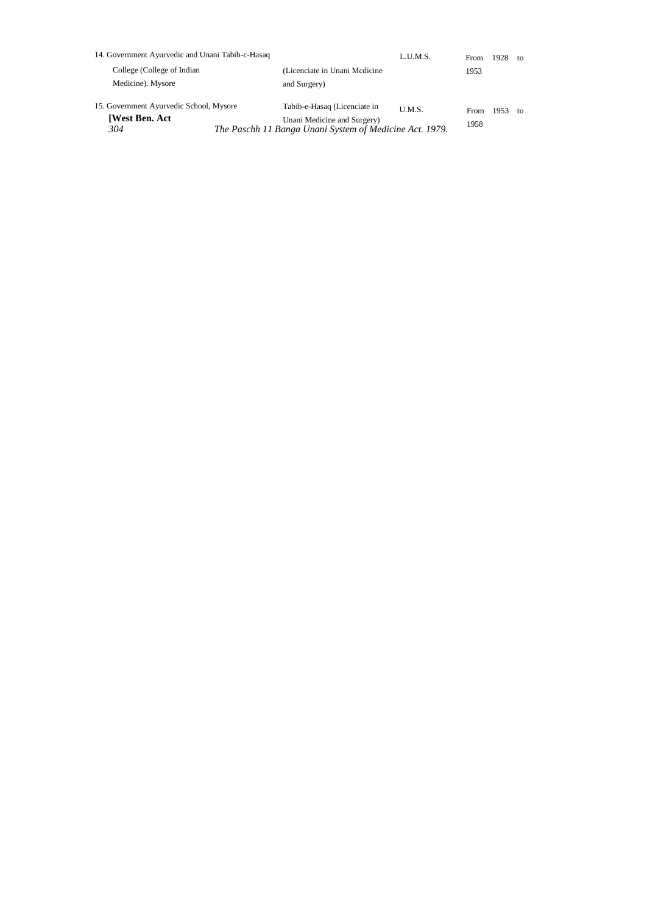| 14. Government Ayurvedic and Unani Tabib-c-Hasaq |                                                                                        | LUMS.  | From        | 1928 | to |
|--------------------------------------------------|----------------------------------------------------------------------------------------|--------|-------------|------|----|
| College (College of Indian                       | (Licenciate in Unani Mcdicine)                                                         |        | 1953        |      |    |
| Medicine). Mysore                                | and Surgery)                                                                           |        |             |      |    |
| 15. Government Ayurvedic School, Mysore          | Tabib-e-Hasaq (Licenciate in                                                           | U.M.S. | <b>From</b> | 1953 | to |
| <b>[West Ben. Act</b><br>304                     | Unani Medicine and Surgery)<br>The Paschh 11 Banga Unani System of Medicine Act. 1979. |        | 1958        |      |    |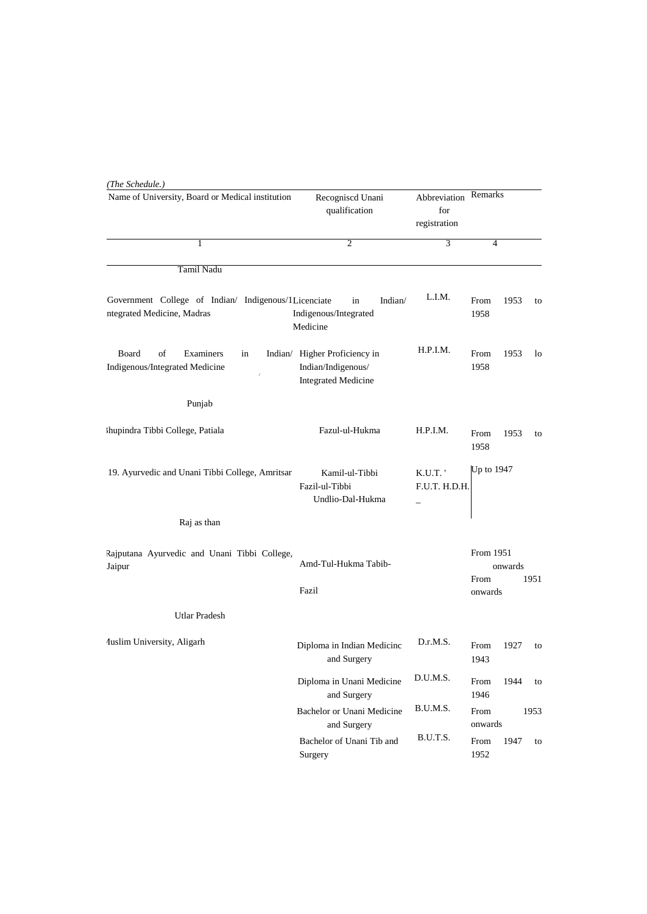| (The Schedule.)<br>Name of University, Board or Medical institution                | Recogniscd Unani<br>qualification                                                 | Abbreviation<br>for<br>registration | Remarks              |                |
|------------------------------------------------------------------------------------|-----------------------------------------------------------------------------------|-------------------------------------|----------------------|----------------|
| 1                                                                                  | $\overline{2}$                                                                    | $\overline{3}$                      | $\overline{4}$       |                |
| Tamil Nadu                                                                         |                                                                                   |                                     |                      |                |
| Government College of Indian/ Indigenous/1Licenciate<br>ntegrated Medicine, Madras | Indian/<br>in<br>Indigenous/Integrated<br>Medicine                                | L.I.M.                              | From<br>1958         | 1953<br>to     |
| Board<br>of<br>Examiners<br>in<br>Indigenous/Integrated Medicine                   | Indian/ Higher Proficiency in<br>Indian/Indigenous/<br><b>Integrated Medicine</b> | H.P.I.M.                            | From<br>1958         | 1953<br>$\log$ |
| Punjab                                                                             |                                                                                   |                                     |                      |                |
| Ihupindra Tibbi College, Patiala                                                   | Fazul-ul-Hukma                                                                    | H.P.I.M.                            | From<br>1958         | 1953<br>to     |
| 19. Ayurvedic and Unani Tibbi College, Amritsar                                    | Kamil-ul-Tibbi<br>Fazil-ul-Tibbi<br>Undlio-Dal-Hukma                              | K.U.T.'<br>F.U.T. H.D.H.            | Up to 1947           |                |
| Raj as than                                                                        |                                                                                   |                                     |                      |                |
| Rajputana Ayurvedic and Unani Tibbi College,<br>Jaipur                             | Amd-Tul-Hukma Tabib-                                                              |                                     | From 1951<br>onwards |                |
|                                                                                    | Fazil                                                                             |                                     | From<br>onwards      | 1951           |
| <b>Utlar Pradesh</b>                                                               |                                                                                   |                                     |                      |                |
| <b>Iuslim University</b> , Aligarh                                                 | Diploma in Indian Medicinc<br>and Surgery                                         | D.r.M.S.                            | From<br>1943         | 1927<br>to     |
|                                                                                    | Diploma in Unani Medicine<br>and Surgery                                          | D.U.M.S.                            | From<br>1946         | 1944<br>to     |
|                                                                                    | Bachelor or Unani Medicine<br>and Surgery                                         | B.U.M.S.                            | From<br>onwards      | 1953           |
|                                                                                    | Bachelor of Unani Tib and<br>Surgery                                              | B.U.T.S.                            | From<br>1952         | 1947<br>to     |